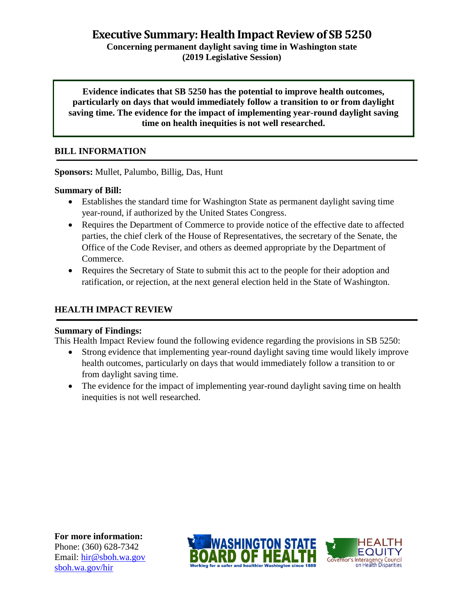**Executive Summary: Health Impact Review of SB 5250**

**Concerning permanent daylight saving time in Washington state (2019 Legislative Session)**

**Evidence indicates that SB 5250 has the potential to improve health outcomes, particularly on days that would immediately follow a transition to or from daylight saving time. The evidence for the impact of implementing year-round daylight saving time on health inequities is not well researched.**

# **BILL INFORMATION**

**Sponsors:** Mullet, Palumbo, Billig, Das, Hunt

# **Summary of Bill:**

- Establishes the standard time for Washington State as permanent daylight saving time year-round, if authorized by the United States Congress.
- Requires the Department of Commerce to provide notice of the effective date to affected parties, the chief clerk of the House of Representatives, the secretary of the Senate, the Office of the Code Reviser, and others as deemed appropriate by the Department of Commerce.
- Requires the Secretary of State to submit this act to the people for their adoption and ratification, or rejection, at the next general election held in the State of Washington.

# **HEALTH IMPACT REVIEW**

## **Summary of Findings:**

This Health Impact Review found the following evidence regarding the provisions in SB 5250:

- Strong evidence that implementing year-round daylight saving time would likely improve health outcomes, particularly on days that would immediately follow a transition to or from daylight saving time.
- The evidence for the impact of implementing year-round daylight saving time on health inequities is not well researched.

**For more information:** Phone: (360) 628-7342 Email: [hir@sboh.wa.gov](mailto:hir@sboh.wa.gov) [sboh.wa.gov/](http://sboh.wa.gov/)hir



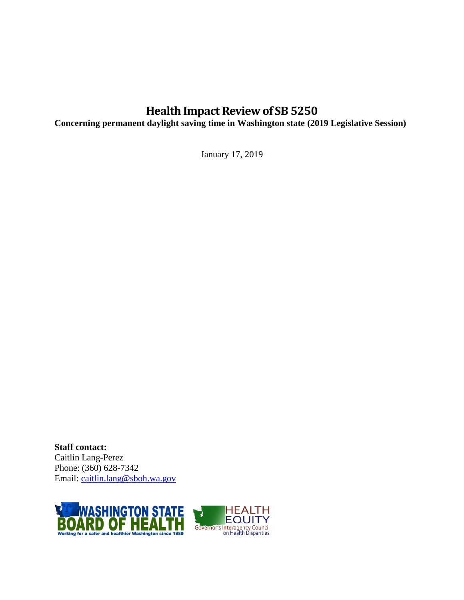# **Health Impact Review of SB 5250**

**Concerning permanent daylight saving time in Washington state (2019 Legislative Session)**

January 17, 2019

**Staff contact:** Caitlin Lang-Perez Phone: (360) 628-7342 Email: [caitlin.lang@sboh.wa.gov](mailto:caitlin.lang@sboh.wa.gov)

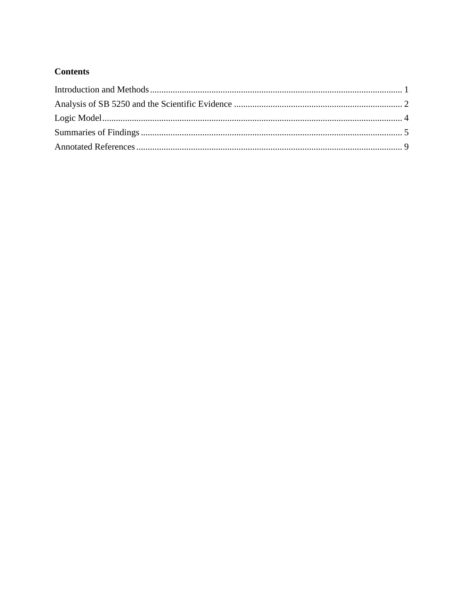# **Contents**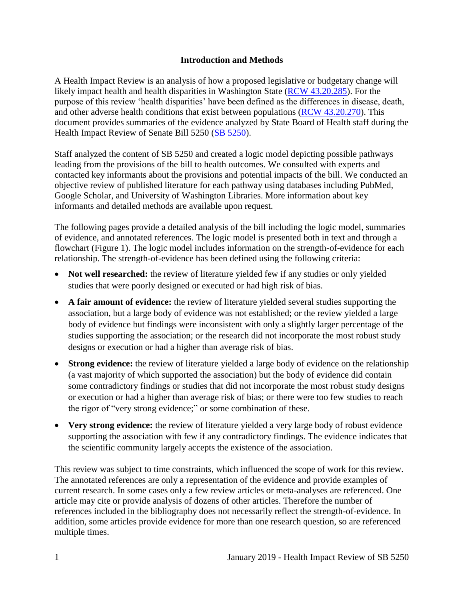#### **Introduction and Methods**

<span id="page-3-0"></span>A Health Impact Review is an analysis of how a proposed legislative or budgetary change will likely impact health and health disparities in Washington State [\(RCW 43.20.285\)](http://apps.leg.wa.gov/rcw/default.aspx?cite=43.20.285). For the purpose of this review 'health disparities' have been defined as the differences in disease, death, and other adverse health conditions that exist between populations [\(RCW 43.20.270\)](http://apps.leg.wa.gov/rcw/default.aspx?cite=43.20.270). This document provides summaries of the evidence analyzed by State Board of Health staff during the Health Impact Review of Senate Bill 5250 (SB [5250\)](https://app.leg.wa.gov/billsummary?BillNumber=5250&Initiative=false&Year=2019).

Staff analyzed the content of SB 5250 and created a logic model depicting possible pathways leading from the provisions of the bill to health outcomes. We consulted with experts and contacted key informants about the provisions and potential impacts of the bill. We conducted an objective review of published literature for each pathway using databases including PubMed, Google Scholar, and University of Washington Libraries. More information about key informants and detailed methods are available upon request.

The following pages provide a detailed analysis of the bill including the logic model, summaries of evidence, and annotated references. The logic model is presented both in text and through a flowchart (Figure 1). The logic model includes information on the strength-of-evidence for each relationship. The strength-of-evidence has been defined using the following criteria:

- Not well researched: the review of literature yielded few if any studies or only yielded studies that were poorly designed or executed or had high risk of bias.
- **A fair amount of evidence:** the review of literature yielded several studies supporting the association, but a large body of evidence was not established; or the review yielded a large body of evidence but findings were inconsistent with only a slightly larger percentage of the studies supporting the association; or the research did not incorporate the most robust study designs or execution or had a higher than average risk of bias.
- **Strong evidence:** the review of literature yielded a large body of evidence on the relationship (a vast majority of which supported the association) but the body of evidence did contain some contradictory findings or studies that did not incorporate the most robust study designs or execution or had a higher than average risk of bias; or there were too few studies to reach the rigor of "very strong evidence;" or some combination of these.
- **Very strong evidence:** the review of literature yielded a very large body of robust evidence supporting the association with few if any contradictory findings. The evidence indicates that the scientific community largely accepts the existence of the association.

This review was subject to time constraints, which influenced the scope of work for this review. The annotated references are only a representation of the evidence and provide examples of current research. In some cases only a few review articles or meta-analyses are referenced. One article may cite or provide analysis of dozens of other articles. Therefore the number of references included in the bibliography does not necessarily reflect the strength-of-evidence. In addition, some articles provide evidence for more than one research question, so are referenced multiple times.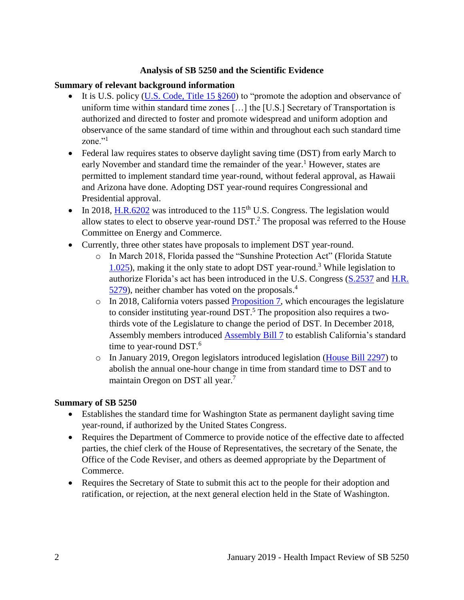#### **Analysis of SB 5250 and the Scientific Evidence**

#### <span id="page-4-0"></span>**Summary of relevant background information**

- It is U.S. policy (U.S. Code, [Title 15 §260\)](https://www.govinfo.gov/content/pkg/USCODE-2011-title15/html/USCODE-2011-title15-chap6-subchapIX.htm) to "promote the adoption and observance of uniform time within standard time zones […] the [U.S.] Secretary of Transportation is authorized and directed to foster and promote widespread and uniform adoption and observance of the same standard of time within and throughout each such standard time zone."<sup>1</sup>
- Federal law requires states to observe daylight saving time (DST) from early March to early November and standard time the remainder of the year.<sup>1</sup> However, states are permitted to implement standard time year-round, without federal approval, as Hawaii and Arizona have done. Adopting DST year-round requires Congressional and Presidential approval.
- In 2018, [H.R.6202](https://www.congress.gov/bill/115th-congress/house-bill/6202/text) was introduced to the 115<sup>th</sup> U.S. Congress. The legislation would allow states to elect to observe year-round  $DST<sup>2</sup>$ . The proposal was referred to the House Committee on Energy and Commerce.
- Currently, three other states have proposals to implement DST year-round.
	- o In March 2018, Florida passed the "Sunshine Protection Act" (Florida Statute [1.025\)](http://www.leg.state.fl.us/statutes/index.cfm?mode=View%20Statutes&SubMenu=1&App_mode=Display_Statute&Search_String=1.025&URL=0000-0099/0001/Sections/0001.025.html), making it the only state to adopt DST year-round.<sup>3</sup> While legislation to authorize Florida's act has been introduced in the U.S. Congress [\(S.2537](https://www.congress.gov/bill/115th-congress/senate-bill/2537/text) and [H.R.](https://www.congress.gov/bill/115th-congress/house-bill/5279)  [5279\)](https://www.congress.gov/bill/115th-congress/house-bill/5279), neither chamber has voted on the proposals.<sup>4</sup>
	- $\circ$  In 2018, California voters passed [Proposition 7,](http://www.voterguide.sos.ca.gov/propositions/7/) which encourages the legislature to consider instituting year-round  $DST$ .<sup>5</sup> The proposition also requires a twothirds vote of the Legislature to change the period of DST. In December 2018, Assembly members introduced [Assembly Bill](http://leginfo.legislature.ca.gov/faces/billTextClient.xhtml?bill_id=201920200AB7&search_keywords=daylight+saving+time) 7 to establish California's standard time to year-round DST.<sup>6</sup>
	- o In January 2019, Oregon legislators introduced legislation [\(House Bill 2297\)](https://olis.leg.state.or.us/liz/2019R1/Measures/Overview/HB2297) to abolish the annual one-hour change in time from standard time to DST and to maintain Oregon on DST all year. 7

#### **Summary of SB 5250**

- Establishes the standard time for Washington State as permanent daylight saving time year-round, if authorized by the United States Congress.
- Requires the Department of Commerce to provide notice of the effective date to affected parties, the chief clerk of the House of Representatives, the secretary of the Senate, the Office of the Code Reviser, and others as deemed appropriate by the Department of Commerce.
- Requires the Secretary of State to submit this act to the people for their adoption and ratification, or rejection, at the next general election held in the State of Washington.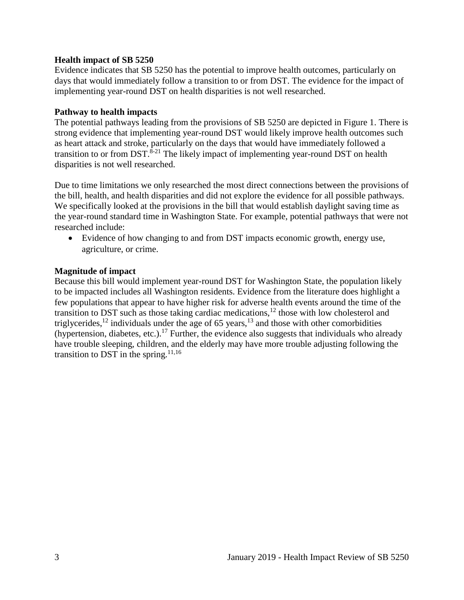#### **Health impact of SB 5250**

Evidence indicates that SB 5250 has the potential to improve health outcomes, particularly on days that would immediately follow a transition to or from DST. The evidence for the impact of implementing year-round DST on health disparities is not well researched.

#### **Pathway to health impacts**

The potential pathways leading from the provisions of SB 5250 are depicted in Figure 1. There is strong evidence that implementing year-round DST would likely improve health outcomes such as heart attack and stroke, particularly on the days that would have immediately followed a transition to or from DST.<sup>8-21</sup> The likely impact of implementing year-round DST on health disparities is not well researched.

Due to time limitations we only researched the most direct connections between the provisions of the bill, health, and health disparities and did not explore the evidence for all possible pathways. We specifically looked at the provisions in the bill that would establish daylight saving time as the year-round standard time in Washington State. For example, potential pathways that were not researched include:

 Evidence of how changing to and from DST impacts economic growth, energy use, agriculture, or crime.

#### **Magnitude of impact**

Because this bill would implement year-round DST for Washington State, the population likely to be impacted includes all Washington residents. Evidence from the literature does highlight a few populations that appear to have higher risk for adverse health events around the time of the transition to DST such as those taking cardiac medications,<sup>12</sup> those with low cholesterol and triglycerides,<sup>12</sup> individuals under the age of 65 years,<sup>13</sup> and those with other comorbidities (hypertension, diabetes, etc.).<sup>17</sup> Further, the evidence also suggests that individuals who already have trouble sleeping, children, and the elderly may have more trouble adjusting following the transition to DST in the spring. $11,16$  $11,16$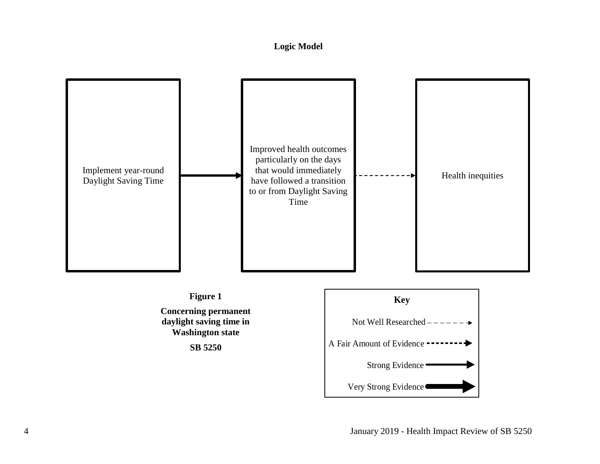## **Logic Model**

<span id="page-6-0"></span>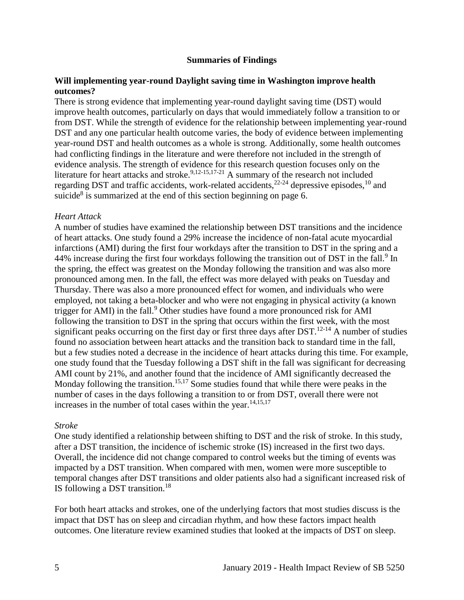#### **Summaries of Findings**

#### <span id="page-7-0"></span>**Will implementing year-round Daylight saving time in Washington improve health outcomes?**

There is strong evidence that implementing year-round daylight saving time (DST) would improve health outcomes, particularly on days that would immediately follow a transition to or from DST. While the strength of evidence for the relationship between implementing year-round DST and any one particular health outcome varies, the body of evidence between implementing year-round DST and health outcomes as a whole is strong. Additionally, some health outcomes had conflicting findings in the literature and were therefore not included in the strength of evidence analysis. The strength of evidence for this research question focuses only on the literature for heart attacks and stroke.<sup>[9,](#page-12-0)[12-15](#page-13-1)[,17-21](#page-15-1)</sup> A summary of the research not included regarding DST and traffic accidents, work-related accidents,<sup>22-24</sup> depressive episodes,<sup>10</sup> and suicide<sup>8</sup> is summarized at the end of this section beginning on page 6.

#### *Heart Attack*

A number of studies have examined the relationship between DST transitions and the incidence of heart attacks. One study found a 29% increase the incidence of non-fatal acute myocardial infarctions (AMI) during the first four workdays after the transition to DST in the spring and a 44% increase during the first four workdays following the transition out of DST in the fall.<sup>9</sup> In the spring, the effect was greatest on the Monday following the transition and was also more pronounced among men. In the fall, the effect was more delayed with peaks on Tuesday and Thursday. There was also a more pronounced effect for women, and individuals who were employed, not taking a beta-blocker and who were not engaging in physical activity (a known trigger for AMI) in the fall.<sup>9</sup> Other studies have found a more pronounced risk for AMI following the transition to DST in the spring that occurs within the first week, with the most significant peaks occurring on the first day or first three days after  $DST$ .<sup>12-14</sup> A number of studies found no association between heart attacks and the transition back to standard time in the fall, but a few studies noted a decrease in the incidence of heart attacks during this time. For example, one study found that the Tuesday following a DST shift in the fall was significant for decreasing AMI count by 21%, and another found that the incidence of AMI significantly decreased the Monday following the transition.<sup>[15,](#page-14-0)[17](#page-15-1)</sup> Some studies found that while there were peaks in the number of cases in the days following a transition to or from DST, overall there were not increases in the number of total cases within the year. $14,15,17$  $14,15,17$  $14,15,17$ 

#### *Stroke*

One study identified a relationship between shifting to DST and the risk of stroke. In this study, after a DST transition, the incidence of ischemic stroke (IS) increased in the first two days. Overall, the incidence did not change compared to control weeks but the timing of events was impacted by a DST transition. When compared with men, women were more susceptible to temporal changes after DST transitions and older patients also had a significant increased risk of IS following a DST transition.<sup>18</sup>

For both heart attacks and strokes, one of the underlying factors that most studies discuss is the impact that DST has on sleep and circadian rhythm, and how these factors impact health outcomes. One literature review examined studies that looked at the impacts of DST on sleep.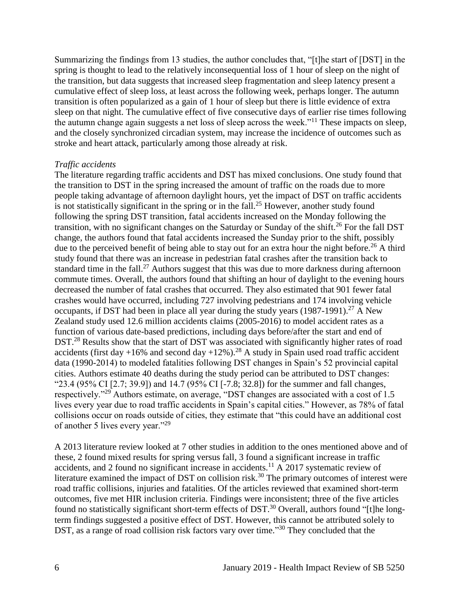Summarizing the findings from 13 studies, the author concludes that, "[t]he start of [DST] in the spring is thought to lead to the relatively inconsequential loss of 1 hour of sleep on the night of the transition, but data suggests that increased sleep fragmentation and sleep latency present a cumulative effect of sleep loss, at least across the following week, perhaps longer. The autumn transition is often popularized as a gain of 1 hour of sleep but there is little evidence of extra sleep on that night. The cumulative effect of five consecutive days of earlier rise times following the autumn change again suggests a net loss of sleep across the week."<sup>11</sup> These impacts on sleep, and the closely synchronized circadian system, may increase the incidence of outcomes such as stroke and heart attack, particularly among those already at risk.

#### *Traffic accidents*

The literature regarding traffic accidents and DST has mixed conclusions. One study found that the transition to DST in the spring increased the amount of traffic on the roads due to more people taking advantage of afternoon daylight hours, yet the impact of DST on traffic accidents is not statistically significant in the spring or in the fall.<sup>25</sup> However, another study found following the spring DST transition, fatal accidents increased on the Monday following the transition, with no significant changes on the Saturday or Sunday of the shift.<sup>26</sup> For the fall DST change, the authors found that fatal accidents increased the Sunday prior to the shift, possibly due to the perceived benefit of being able to stay out for an extra hour the night before.<sup>26</sup> A third study found that there was an increase in pedestrian fatal crashes after the transition back to standard time in the fall.<sup>27</sup> Authors suggest that this was due to more darkness during afternoon commute times. Overall, the authors found that shifting an hour of daylight to the evening hours decreased the number of fatal crashes that occurred. They also estimated that 901 fewer fatal crashes would have occurred, including 727 involving pedestrians and 174 involving vehicle occupants, if DST had been in place all year during the study years  $(1987-1991)$ <sup>27</sup> A New Zealand study used 12.6 million accidents claims (2005-2016) to model accident rates as a function of various date-based predictions, including days before/after the start and end of DST.<sup>28</sup> Results show that the start of DST was associated with significantly higher rates of road accidents (first day +16% and second day +12%).<sup>28</sup> A study in Spain used road traffic accident data (1990-2014) to modeled fatalities following DST changes in Spain's 52 provincial capital cities. Authors estimate 40 deaths during the study period can be attributed to DST changes: "23.4 (95% CI [2.7; 39.9]) and 14.7 (95% CI [-7.8; 32.8]) for the summer and fall changes, respectively."<sup>29</sup> Authors estimate, on average, "DST changes are associated with a cost of 1.5 lives every year due to road traffic accidents in Spain's capital cities." However, as 78% of fatal collisions occur on roads outside of cities, they estimate that "this could have an additional cost of another 5 lives every year."<sup>29</sup>

A 2013 literature review looked at 7 other studies in addition to the ones mentioned above and of these, 2 found mixed results for spring versus fall, 3 found a significant increase in traffic accidents, and 2 found no significant increase in accidents.<sup>11</sup> A 2017 systematic review of literature examined the impact of DST on collision risk.<sup>30</sup> The primary outcomes of interest were road traffic collisions, injuries and fatalities. Of the articles reviewed that examined short-term outcomes, five met HIR inclusion criteria. Findings were inconsistent; three of the five articles found no statistically significant short-term effects of DST.<sup>30</sup> Overall, authors found "[t]he longterm findings suggested a positive effect of DST. However, this cannot be attributed solely to DST, as a range of road collision risk factors vary over time."<sup>30</sup> They concluded that the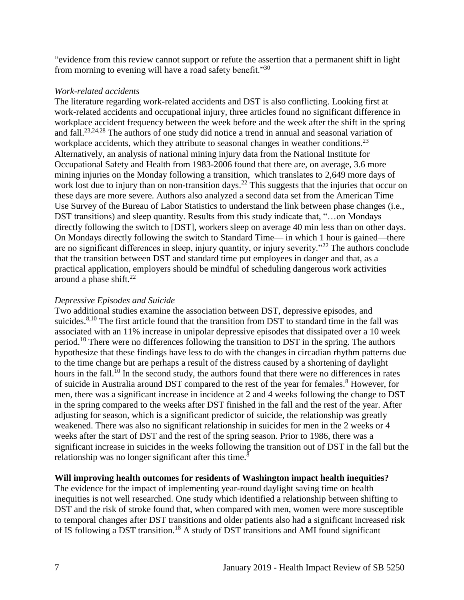"evidence from this review cannot support or refute the assertion that a permanent shift in light from morning to evening will have a road safety benefit."<sup>30</sup>

#### *Work-related accidents*

The literature regarding work-related accidents and DST is also conflicting. Looking first at work-related accidents and occupational injury, three articles found no significant difference in workplace accident frequency between the week before and the week after the shift in the spring and fall.[23,](#page-17-0)[24,](#page-17-1)[28](#page-18-0) The authors of one study did notice a trend in annual and seasonal variation of workplace accidents, which they attribute to seasonal changes in weather conditions.<sup>23</sup> Alternatively, an analysis of national mining injury data from the National Institute for Occupational Safety and Health from 1983-2006 found that there are, on average, 3.6 more mining injuries on the Monday following a transition, which translates to 2,649 more days of work lost due to injury than on non-transition days.<sup>22</sup> This suggests that the injuries that occur on these days are more severe. Authors also analyzed a second data set from the American Time Use Survey of the Bureau of Labor Statistics to understand the link between phase changes (i.e., DST transitions) and sleep quantity. Results from this study indicate that, "…on Mondays directly following the switch to [DST], workers sleep on average 40 min less than on other days. On Mondays directly following the switch to Standard Time— in which 1 hour is gained—there are no significant differences in sleep, injury quantity, or injury severity."<sup>22</sup> The authors conclude that the transition between DST and standard time put employees in danger and that, as a practical application, employers should be mindful of scheduling dangerous work activities around a phase shift. $^{22}$ 

## *Depressive Episodes and Suicide*

Two additional studies examine the association between DST, depressive episodes, and suicides.<sup>[8,](#page-12-1)[10](#page-12-2)</sup> The first article found that the transition from DST to standard time in the fall was associated with an 11% increase in unipolar depressive episodes that dissipated over a 10 week period.<sup>10</sup> There were no differences following the transition to DST in the spring. The authors hypothesize that these findings have less to do with the changes in circadian rhythm patterns due to the time change but are perhaps a result of the distress caused by a shortening of daylight hours in the fall.<sup>10</sup> In the second study, the authors found that there were no differences in rates of suicide in Australia around DST compared to the rest of the year for females.<sup>8</sup> However, for men, there was a significant increase in incidence at 2 and 4 weeks following the change to DST in the spring compared to the weeks after DST finished in the fall and the rest of the year. After adjusting for season, which is a significant predictor of suicide, the relationship was greatly weakened. There was also no significant relationship in suicides for men in the 2 weeks or 4 weeks after the start of DST and the rest of the spring season. Prior to 1986, there was a significant increase in suicides in the weeks following the transition out of DST in the fall but the relationship was no longer significant after this time.<sup>8</sup>

## **Will improving health outcomes for residents of Washington impact health inequities?**

The evidence for the impact of implementing year-round daylight saving time on health inequities is not well researched. One study which identified a relationship between shifting to DST and the risk of stroke found that, when compared with men, women were more susceptible to temporal changes after DST transitions and older patients also had a significant increased risk of IS following a DST transition.<sup>18</sup> A study of DST transitions and AMI found significant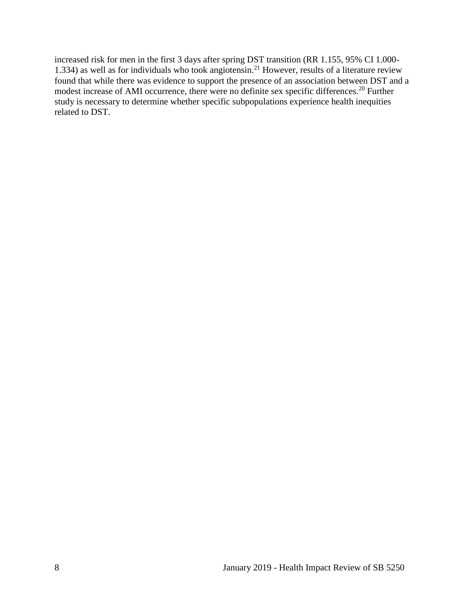increased risk for men in the first 3 days after spring DST transition (RR 1.155, 95% CI 1.000- 1.334) as well as for individuals who took angiotensin.<sup>21</sup> However, results of a literature review found that while there was evidence to support the presence of an association between DST and a modest increase of AMI occurrence, there were no definite sex specific differences.<sup>20</sup> Further study is necessary to determine whether specific subpopulations experience health inequities related to DST.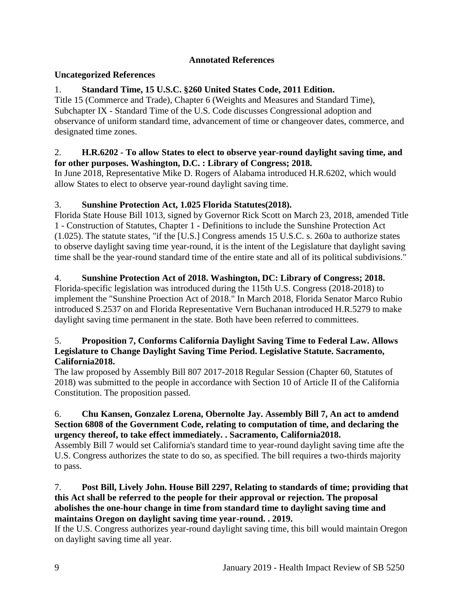# **Annotated References**

# <span id="page-11-0"></span>**Uncategorized References**

# 1. **Standard Time, 15 U.S.C. §260 United States Code, 2011 Edition.**

Title 15 (Commerce and Trade), Chapter 6 (Weights and Measures and Standard Time), Subchapter IX - Standard Time of the U.S. Code discusses Congressional adoption and observance of uniform standard time, advancement of time or changeover dates, commerce, and designated time zones.

## 2. **H.R.6202 - To allow States to elect to observe year-round daylight saving time, and for other purposes. Washington, D.C. : Library of Congress; 2018.**

In June 2018, Representative Mike D. Rogers of Alabama introduced H.R.6202, which would allow States to elect to observe year-round daylight saving time.

# 3. **Sunshine Protection Act, 1.025 Florida Statutes(2018).**

Florida State House Bill 1013, signed by Governor Rick Scott on March 23, 2018, amended Title 1 - Construction of Statutes, Chapter 1 - Definitions to include the Sunshine Protection Act (1.025). The statute states, "if the [U.S.] Congress amends 15 U.S.C. s. 260a to authorize states to observe daylight saving time year-round, it is the intent of the Legislature that daylight saving time shall be the year-round standard time of the entire state and all of its political subdivisions."

# 4. **Sunshine Protection Act of 2018. Washington, DC: Library of Congress; 2018.**

Florida-specific legislation was introduced during the 115th U.S. Congress (2018-2018) to implement the "Sunshine Proection Act of 2018." In March 2018, Florida Senator Marco Rubio introduced S.2537 on and Florida Representative Vern Buchanan introduced H.R.5279 to make daylight saving time permanent in the state. Both have been referred to committees.

## 5. **Proposition 7, Conforms California Daylight Saving Time to Federal Law. Allows Legislature to Change Daylight Saving Time Period. Legislative Statute. Sacramento, California2018.**

The law proposed by Assembly Bill 807 2017-2018 Regular Session (Chapter 60, Statutes of 2018) was submitted to the people in accordance with Section 10 of Article II of the California Constitution. The proposition passed.

#### 6. **Chu Kansen, Gonzalez Lorena, Obernolte Jay. Assembly Bill 7, An act to amdend Section 6808 of the Government Code, relating to computation of time, and declaring the urgency thereof, to take effect immediately. . Sacramento, California2018.**

Assembly Bill 7 would set California's standard time to year-round daylight saving time afte the U.S. Congress authorizes the state to do so, as specified. The bill requires a two-thirds majority to pass.

## 7. **Post Bill, Lively John. House Bill 2297, Relating to standards of time; providing that this Act shall be referred to the people for their approval or rejection. The proposal abolishes the one-hour change in time from standard time to daylight saving time and maintains Oregon on daylight saving time year-round. . 2019.**

If the U.S. Congress authorizes year-round daylight saving time, this bill would maintain Oregon on daylight saving time all year.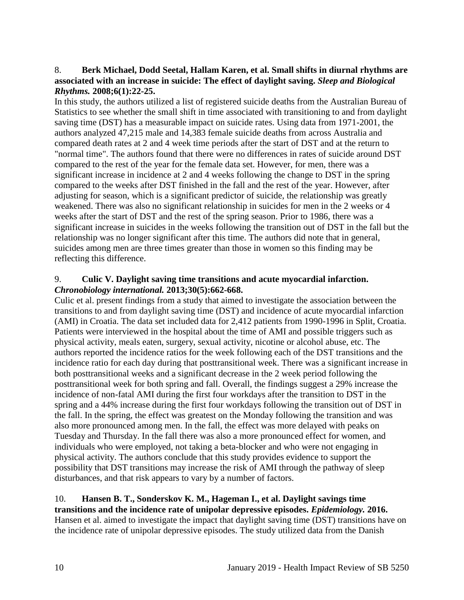## <span id="page-12-1"></span>8. **Berk Michael, Dodd Seetal, Hallam Karen, et al. Small shifts in diurnal rhythms are associated with an increase in suicide: The effect of daylight saving.** *Sleep and Biological Rhythms.* **2008;6(1):22-25.**

In this study, the authors utilized a list of registered suicide deaths from the Australian Bureau of Statistics to see whether the small shift in time associated with transitioning to and from daylight saving time (DST) has a measurable impact on suicide rates. Using data from 1971-2001, the authors analyzed 47,215 male and 14,383 female suicide deaths from across Australia and compared death rates at 2 and 4 week time periods after the start of DST and at the return to "normal time". The authors found that there were no differences in rates of suicide around DST compared to the rest of the year for the female data set. However, for men, there was a significant increase in incidence at 2 and 4 weeks following the change to DST in the spring compared to the weeks after DST finished in the fall and the rest of the year. However, after adjusting for season, which is a significant predictor of suicide, the relationship was greatly weakened. There was also no significant relationship in suicides for men in the 2 weeks or 4 weeks after the start of DST and the rest of the spring season. Prior to 1986, there was a significant increase in suicides in the weeks following the transition out of DST in the fall but the relationship was no longer significant after this time. The authors did note that in general, suicides among men are three times greater than those in women so this finding may be reflecting this difference.

#### <span id="page-12-0"></span>9. **Culic V. Daylight saving time transitions and acute myocardial infarction.**  *Chronobiology international.* **2013;30(5):662-668.**

Culic et al. present findings from a study that aimed to investigate the association between the transitions to and from daylight saving time (DST) and incidence of acute myocardial infarction (AMI) in Croatia. The data set included data for 2,412 patients from 1990-1996 in Split, Croatia. Patients were interviewed in the hospital about the time of AMI and possible triggers such as physical activity, meals eaten, surgery, sexual activity, nicotine or alcohol abuse, etc. The authors reported the incidence ratios for the week following each of the DST transitions and the incidence ratio for each day during that posttransitional week. There was a significant increase in both posttransitional weeks and a significant decrease in the 2 week period following the posttransitional week for both spring and fall. Overall, the findings suggest a 29% increase the incidence of non-fatal AMI during the first four workdays after the transition to DST in the spring and a 44% increase during the first four workdays following the transition out of DST in the fall. In the spring, the effect was greatest on the Monday following the transition and was also more pronounced among men. In the fall, the effect was more delayed with peaks on Tuesday and Thursday. In the fall there was also a more pronounced effect for women, and individuals who were employed, not taking a beta-blocker and who were not engaging in physical activity. The authors conclude that this study provides evidence to support the possibility that DST transitions may increase the risk of AMI through the pathway of sleep disturbances, and that risk appears to vary by a number of factors.

#### <span id="page-12-2"></span>10. **Hansen B. T., Sonderskov K. M., Hageman I., et al. Daylight savings time transitions and the incidence rate of unipolar depressive episodes.** *Epidemiology.* **2016.** Hansen et al. aimed to investigate the impact that daylight saving time (DST) transitions have on the incidence rate of unipolar depressive episodes. The study utilized data from the Danish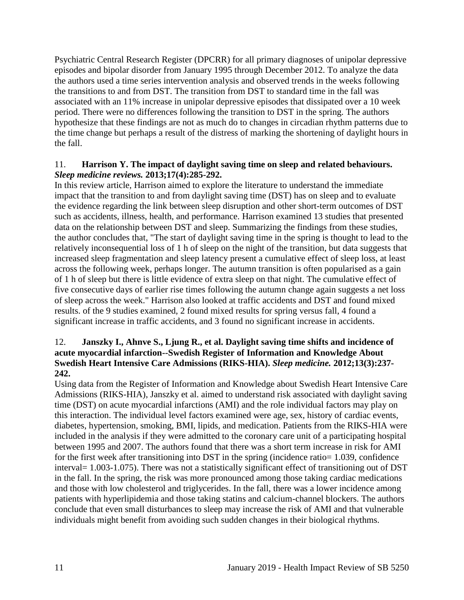Psychiatric Central Research Register (DPCRR) for all primary diagnoses of unipolar depressive episodes and bipolar disorder from January 1995 through December 2012. To analyze the data the authors used a time series intervention analysis and observed trends in the weeks following the transitions to and from DST. The transition from DST to standard time in the fall was associated with an 11% increase in unipolar depressive episodes that dissipated over a 10 week period. There were no differences following the transition to DST in the spring. The authors hypothesize that these findings are not as much do to changes in circadian rhythm patterns due to the time change but perhaps a result of the distress of marking the shortening of daylight hours in the fall.

## <span id="page-13-0"></span>11. **Harrison Y. The impact of daylight saving time on sleep and related behaviours.**  *Sleep medicine reviews.* **2013;17(4):285-292.**

In this review article, Harrison aimed to explore the literature to understand the immediate impact that the transition to and from daylight saving time (DST) has on sleep and to evaluate the evidence regarding the link between sleep disruption and other short-term outcomes of DST such as accidents, illness, health, and performance. Harrison examined 13 studies that presented data on the relationship between DST and sleep. Summarizing the findings from these studies, the author concludes that, "The start of daylight saving time in the spring is thought to lead to the relatively inconsequential loss of 1 h of sleep on the night of the transition, but data suggests that increased sleep fragmentation and sleep latency present a cumulative effect of sleep loss, at least across the following week, perhaps longer. The autumn transition is often popularised as a gain of 1 h of sleep but there is little evidence of extra sleep on that night. The cumulative effect of five consecutive days of earlier rise times following the autumn change again suggests a net loss of sleep across the week." Harrison also looked at traffic accidents and DST and found mixed results. of the 9 studies examined, 2 found mixed results for spring versus fall, 4 found a significant increase in traffic accidents, and 3 found no significant increase in accidents.

## <span id="page-13-1"></span>12. **Janszky I., Ahnve S., Ljung R., et al. Daylight saving time shifts and incidence of acute myocardial infarction--Swedish Register of Information and Knowledge About Swedish Heart Intensive Care Admissions (RIKS-HIA).** *Sleep medicine.* **2012;13(3):237- 242.**

Using data from the Register of Information and Knowledge about Swedish Heart Intensive Care Admissions (RIKS-HIA), Janszky et al. aimed to understand risk associated with daylight saving time (DST) on acute myocardial infarctions (AMI) and the role individual factors may play on this interaction. The individual level factors examined were age, sex, history of cardiac events, diabetes, hypertension, smoking, BMI, lipids, and medication. Patients from the RIKS-HIA were included in the analysis if they were admitted to the coronary care unit of a participating hospital between 1995 and 2007. The authors found that there was a short term increase in risk for AMI for the first week after transitioning into DST in the spring (incidence ratio= 1.039, confidence interval= 1.003-1.075). There was not a statistically significant effect of transitioning out of DST in the fall. In the spring, the risk was more pronounced among those taking cardiac medications and those with low cholesterol and triglycerides. In the fall, there was a lower incidence among patients with hyperlipidemia and those taking statins and calcium-channel blockers. The authors conclude that even small disturbances to sleep may increase the risk of AMI and that vulnerable individuals might benefit from avoiding such sudden changes in their biological rhythms.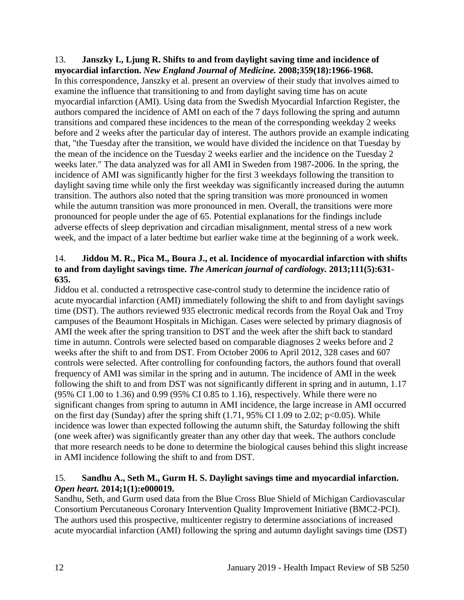#### 13. **Janszky I., Ljung R. Shifts to and from daylight saving time and incidence of myocardial infarction.** *New England Journal of Medicine.* **2008;359(18):1966-1968.**

In this correspondence, Janszky et al. present an overview of their study that involves aimed to examine the influence that transitioning to and from daylight saving time has on acute myocardial infarction (AMI). Using data from the Swedish Myocardial Infarction Register, the authors compared the incidence of AMI on each of the 7 days following the spring and autumn transitions and compared these incidences to the mean of the corresponding weekday 2 weeks before and 2 weeks after the particular day of interest. The authors provide an example indicating that, "the Tuesday after the transition, we would have divided the incidence on that Tuesday by the mean of the incidence on the Tuesday 2 weeks earlier and the incidence on the Tuesday 2 weeks later." The data analyzed was for all AMI in Sweden from 1987-2006. In the spring, the incidence of AMI was significantly higher for the first 3 weekdays following the transition to daylight saving time while only the first weekday was significantly increased during the autumn transition. The authors also noted that the spring transition was more pronounced in women while the autumn transition was more pronounced in men. Overall, the transitions were more pronounced for people under the age of 65. Potential explanations for the findings include adverse effects of sleep deprivation and circadian misalignment, mental stress of a new work week, and the impact of a later bedtime but earlier wake time at the beginning of a work week.

# <span id="page-14-1"></span>14. **Jiddou M. R., Pica M., Boura J., et al. Incidence of myocardial infarction with shifts to and from daylight savings time.** *The American journal of cardiology.* **2013;111(5):631- 635.**

Jiddou et al. conducted a retrospective case-control study to determine the incidence ratio of acute myocardial infarction (AMI) immediately following the shift to and from daylight savings time (DST). The authors reviewed 935 electronic medical records from the Royal Oak and Troy campuses of the Beaumont Hospitals in Michigan. Cases were selected by primary diagnosis of AMI the week after the spring transition to DST and the week after the shift back to standard time in autumn. Controls were selected based on comparable diagnoses 2 weeks before and 2 weeks after the shift to and from DST. From October 2006 to April 2012, 328 cases and 607 controls were selected. After controlling for confounding factors, the authors found that overall frequency of AMI was similar in the spring and in autumn. The incidence of AMI in the week following the shift to and from DST was not significantly different in spring and in autumn, 1.17 (95% CI 1.00 to 1.36) and 0.99 (95% CI 0.85 to 1.16), respectively. While there were no significant changes from spring to autumn in AMI incidence, the large increase in AMI occurred on the first day (Sunday) after the spring shift  $(1.71, 95\% \text{ CI } 1.09 \text{ to } 2.02; \text{ p} < 0.05)$ . While incidence was lower than expected following the autumn shift, the Saturday following the shift (one week after) was significantly greater than any other day that week. The authors conclude that more research needs to be done to determine the biological causes behind this slight increase in AMI incidence following the shift to and from DST.

# <span id="page-14-0"></span>15. **Sandhu A., Seth M., Gurm H. S. Daylight savings time and myocardial infarction.**  *Open heart.* **2014;1(1):e000019.**

Sandhu, Seth, and Gurm used data from the Blue Cross Blue Shield of Michigan Cardiovascular Consortium Percutaneous Coronary Intervention Quality Improvement Initiative (BMC2-PCI). The authors used this prospective, multicenter registry to determine associations of increased acute myocardial infarction (AMI) following the spring and autumn daylight savings time (DST)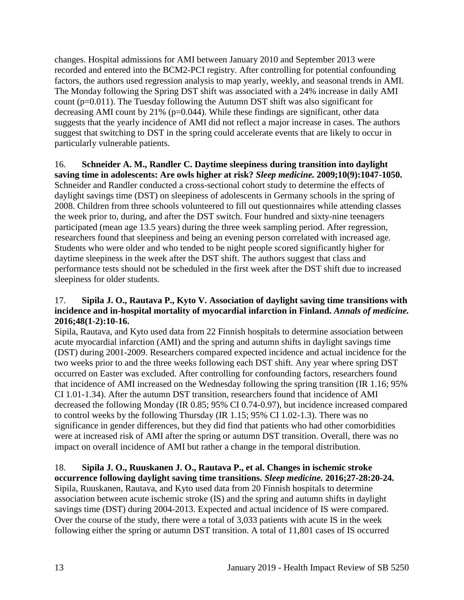changes. Hospital admissions for AMI between January 2010 and September 2013 were recorded and entered into the BCM2-PCI registry. After controlling for potential confounding factors, the authors used regression analysis to map yearly, weekly, and seasonal trends in AMI. The Monday following the Spring DST shift was associated with a 24% increase in daily AMI count (p=0.011). The Tuesday following the Autumn DST shift was also significant for decreasing AMI count by 21% (p=0.044). While these findings are significant, other data suggests that the yearly incidence of AMI did not reflect a major increase in cases. The authors suggest that switching to DST in the spring could accelerate events that are likely to occur in particularly vulnerable patients.

## <span id="page-15-0"></span>16. **Schneider A. M., Randler C. Daytime sleepiness during transition into daylight saving time in adolescents: Are owls higher at risk?** *Sleep medicine.* **2009;10(9):1047-1050.** Schneider and Randler conducted a cross-sectional cohort study to determine the effects of daylight savings time (DST) on sleepiness of adolescents in Germany schools in the spring of 2008. Children from three schools volunteered to fill out questionnaires while attending classes the week prior to, during, and after the DST switch. Four hundred and sixty-nine teenagers participated (mean age 13.5 years) during the three week sampling period. After regression, researchers found that sleepiness and being an evening person correlated with increased age. Students who were older and who tended to be night people scored significantly higher for daytime sleepiness in the week after the DST shift. The authors suggest that class and performance tests should not be scheduled in the first week after the DST shift due to increased sleepiness for older students.

## <span id="page-15-1"></span>17. **Sipila J. O., Rautava P., Kyto V. Association of daylight saving time transitions with incidence and in-hospital mortality of myocardial infarction in Finland.** *Annals of medicine.*  **2016;48(1-2):10-16.**

Sipila, Rautava, and Kyto used data from 22 Finnish hospitals to determine association between acute myocardial infarction (AMI) and the spring and autumn shifts in daylight savings time (DST) during 2001-2009. Researchers compared expected incidence and actual incidence for the two weeks prior to and the three weeks following each DST shift. Any year where spring DST occurred on Easter was excluded. After controlling for confounding factors, researchers found that incidence of AMI increased on the Wednesday following the spring transition (IR 1.16; 95% CI 1.01-1.34). After the autumn DST transition, researchers found that incidence of AMI decreased the following Monday (IR 0.85; 95% CI 0.74-0.97), but incidence increased compared to control weeks by the following Thursday (IR 1.15; 95% CI 1.02-1.3). There was no significance in gender differences, but they did find that patients who had other comorbidities were at increased risk of AMI after the spring or autumn DST transition. Overall, there was no impact on overall incidence of AMI but rather a change in the temporal distribution.

# 18. **Sipila J. O., Ruuskanen J. O., Rautava P., et al. Changes in ischemic stroke**

**occurrence following daylight saving time transitions.** *Sleep medicine.* **2016;27-28:20-24.** Sipila, Ruuskanen, Rautava, and Kyto used data from 20 Finnish hospitals to determine association between acute ischemic stroke (IS) and the spring and autumn shifts in daylight savings time (DST) during 2004-2013. Expected and actual incidence of IS were compared. Over the course of the study, there were a total of 3,033 patients with acute IS in the week following either the spring or autumn DST transition. A total of 11,801 cases of IS occurred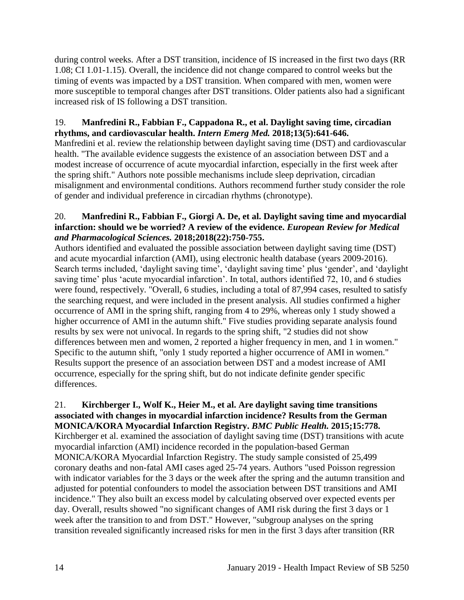during control weeks. After a DST transition, incidence of IS increased in the first two days (RR 1.08; CI 1.01-1.15). Overall, the incidence did not change compared to control weeks but the timing of events was impacted by a DST transition. When compared with men, women were more susceptible to temporal changes after DST transitions. Older patients also had a significant increased risk of IS following a DST transition.

# 19. **Manfredini R., Fabbian F., Cappadona R., et al. Daylight saving time, circadian rhythms, and cardiovascular health.** *Intern Emerg Med.* **2018;13(5):641-646.**

Manfredini et al. review the relationship between daylight saving time (DST) and cardiovascular health. "The available evidence suggests the existence of an association between DST and a modest increase of occurrence of acute myocardial infarction, especially in the first week after the spring shift." Authors note possible mechanisms include sleep deprivation, circadian misalignment and environmental conditions. Authors recommend further study consider the role of gender and individual preference in circadian rhythms (chronotype).

# 20. **Manfredini R., Fabbian F., Giorgi A. De, et al. Daylight saving time and myocardial infarction: should we be worried? A review of the evidence.** *European Review for Medical and Pharmacological Sciences.* **2018;2018(22):750-755.**

Authors identified and evaluated the possible association between daylight saving time (DST) and acute myocardial infarction (AMI), using electronic health database (years 2009-2016). Search terms included, 'daylight saving time', 'daylight saving time' plus 'gender', and 'daylight saving time' plus 'acute myocardial infarction'. In total, authors identified 72, 10, and 6 studies were found, respectively. "Overall, 6 studies, including a total of 87,994 cases, resulted to satisfy the searching request, and were included in the present analysis. All studies confirmed a higher occurrence of AMI in the spring shift, ranging from 4 to 29%, whereas only 1 study showed a higher occurrence of AMI in the autumn shift." Five studies providing separate analysis found results by sex were not univocal. In regards to the spring shift, "2 studies did not show differences between men and women, 2 reported a higher frequency in men, and 1 in women." Specific to the autumn shift, "only 1 study reported a higher occurrence of AMI in women." Results support the presence of an association between DST and a modest increase of AMI occurrence, especially for the spring shift, but do not indicate definite gender specific differences.

#### 21. **Kirchberger I., Wolf K., Heier M., et al. Are daylight saving time transitions associated with changes in myocardial infarction incidence? Results from the German MONICA/KORA Myocardial Infarction Registry.** *BMC Public Health.* **2015;15:778.**

Kirchberger et al. examined the association of daylight saving time (DST) transitions with acute myocardial infarction (AMI) incidence recorded in the population-based German MONICA/KORA Myocardial Infarction Registry. The study sample consisted of 25,499 coronary deaths and non-fatal AMI cases aged 25-74 years. Authors "used Poisson regression with indicator variables for the 3 days or the week after the spring and the autumn transition and adjusted for potential confounders to model the association between DST transitions and AMI incidence." They also built an excess model by calculating observed over expected events per day. Overall, results showed "no significant changes of AMI risk during the first 3 days or 1 week after the transition to and from DST." However, "subgroup analyses on the spring transition revealed significantly increased risks for men in the first 3 days after transition (RR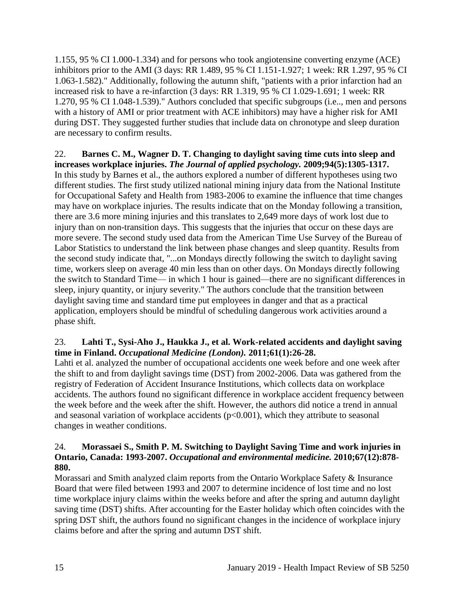1.155, 95 % CI 1.000-1.334) and for persons who took angiotensine converting enzyme (ACE) inhibitors prior to the AMI (3 days: RR 1.489, 95 % CI 1.151-1.927; 1 week: RR 1.297, 95 % CI 1.063-1.582)." Additionally, following the autumn shift, "patients with a prior infarction had an increased risk to have a re-infarction (3 days: RR 1.319, 95 % CI 1.029-1.691; 1 week: RR 1.270, 95 % CI 1.048-1.539)." Authors concluded that specific subgroups (i.e.., men and persons with a history of AMI or prior treatment with ACE inhibitors) may have a higher risk for AMI during DST. They suggested further studies that include data on chronotype and sleep duration are necessary to confirm results.

22. **Barnes C. M., Wagner D. T. Changing to daylight saving time cuts into sleep and increases workplace injuries.** *The Journal of applied psychology.* **2009;94(5):1305-1317.** In this study by Barnes et al., the authors explored a number of different hypotheses using two different studies. The first study utilized national mining injury data from the National Institute for Occupational Safety and Health from 1983-2006 to examine the influence that time changes may have on workplace injuries. The results indicate that on the Monday following a transition, there are 3.6 more mining injuries and this translates to 2,649 more days of work lost due to injury than on non-transition days. This suggests that the injuries that occur on these days are more severe. The second study used data from the American Time Use Survey of the Bureau of Labor Statistics to understand the link between phase changes and sleep quantity. Results from the second study indicate that, "...on Mondays directly following the switch to daylight saving time, workers sleep on average 40 min less than on other days. On Mondays directly following the switch to Standard Time— in which 1 hour is gained—there are no significant differences in sleep, injury quantity, or injury severity." The authors conclude that the transition between daylight saving time and standard time put employees in danger and that as a practical application, employers should be mindful of scheduling dangerous work activities around a phase shift.

# <span id="page-17-0"></span>23. **Lahti T., Sysi-Aho J., Haukka J., et al. Work-related accidents and daylight saving time in Finland.** *Occupational Medicine (London).* **2011;61(1):26-28.**

Lahti et al. analyzed the number of occupational accidents one week before and one week after the shift to and from daylight savings time (DST) from 2002-2006. Data was gathered from the registry of Federation of Accident Insurance Institutions, which collects data on workplace accidents. The authors found no significant difference in workplace accident frequency between the week before and the week after the shift. However, the authors did notice a trend in annual and seasonal variation of workplace accidents  $(p<0.001)$ , which they attribute to seasonal changes in weather conditions.

# <span id="page-17-1"></span>24. **Morassaei S., Smith P. M. Switching to Daylight Saving Time and work injuries in Ontario, Canada: 1993-2007.** *Occupational and environmental medicine.* **2010;67(12):878- 880.**

Morassari and Smith analyzed claim reports from the Ontario Workplace Safety & Insurance Board that were filed between 1993 and 2007 to determine incidence of lost time and no lost time workplace injury claims within the weeks before and after the spring and autumn daylight saving time (DST) shifts. After accounting for the Easter holiday which often coincides with the spring DST shift, the authors found no significant changes in the incidence of workplace injury claims before and after the spring and autumn DST shift.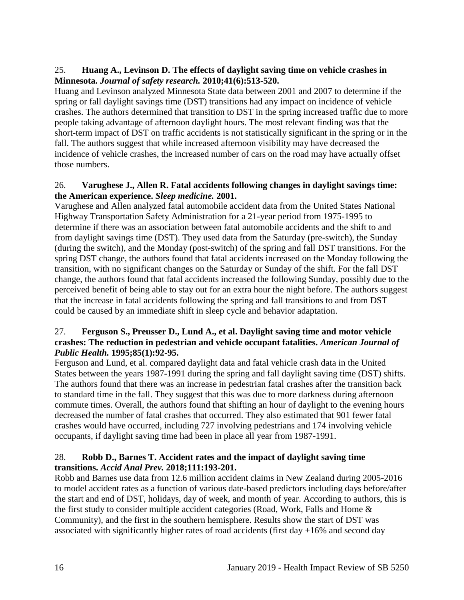# 25. **Huang A., Levinson D. The effects of daylight saving time on vehicle crashes in Minnesota.** *Journal of safety research.* **2010;41(6):513-520.**

Huang and Levinson analyzed Minnesota State data between 2001 and 2007 to determine if the spring or fall daylight savings time (DST) transitions had any impact on incidence of vehicle crashes. The authors determined that transition to DST in the spring increased traffic due to more people taking advantage of afternoon daylight hours. The most relevant finding was that the short-term impact of DST on traffic accidents is not statistically significant in the spring or in the fall. The authors suggest that while increased afternoon visibility may have decreased the incidence of vehicle crashes, the increased number of cars on the road may have actually offset those numbers.

## 26. **Varughese J., Allen R. Fatal accidents following changes in daylight savings time: the American experience.** *Sleep medicine.* **2001.**

Varughese and Allen analyzed fatal automobile accident data from the United States National Highway Transportation Safety Administration for a 21-year period from 1975-1995 to determine if there was an association between fatal automobile accidents and the shift to and from daylight savings time (DST). They used data from the Saturday (pre-switch), the Sunday (during the switch), and the Monday (post-switch) of the spring and fall DST transitions. For the spring DST change, the authors found that fatal accidents increased on the Monday following the transition, with no significant changes on the Saturday or Sunday of the shift. For the fall DST change, the authors found that fatal accidents increased the following Sunday, possibly due to the perceived benefit of being able to stay out for an extra hour the night before. The authors suggest that the increase in fatal accidents following the spring and fall transitions to and from DST could be caused by an immediate shift in sleep cycle and behavior adaptation.

## 27. **Ferguson S., Preusser D., Lund A., et al. Daylight saving time and motor vehicle crashes: The reduction in pedestrian and vehicle occupant fatalities.** *American Journal of Public Health.* **1995;85(1):92-95.**

Ferguson and Lund, et al. compared daylight data and fatal vehicle crash data in the United States between the years 1987-1991 during the spring and fall daylight saving time (DST) shifts. The authors found that there was an increase in pedestrian fatal crashes after the transition back to standard time in the fall. They suggest that this was due to more darkness during afternoon commute times. Overall, the authors found that shifting an hour of daylight to the evening hours decreased the number of fatal crashes that occurred. They also estimated that 901 fewer fatal crashes would have occurred, including 727 involving pedestrians and 174 involving vehicle occupants, if daylight saving time had been in place all year from 1987-1991.

# <span id="page-18-0"></span>28. **Robb D., Barnes T. Accident rates and the impact of daylight saving time transitions.** *Accid Anal Prev.* **2018;111:193-201.**

Robb and Barnes use data from 12.6 million accident claims in New Zealand during 2005-2016 to model accident rates as a function of various date-based predictors including days before/after the start and end of DST, holidays, day of week, and month of year. According to authors, this is the first study to consider multiple accident categories (Road, Work, Falls and Home & Community), and the first in the southern hemisphere. Results show the start of DST was associated with significantly higher rates of road accidents (first day  $+16\%$  and second day